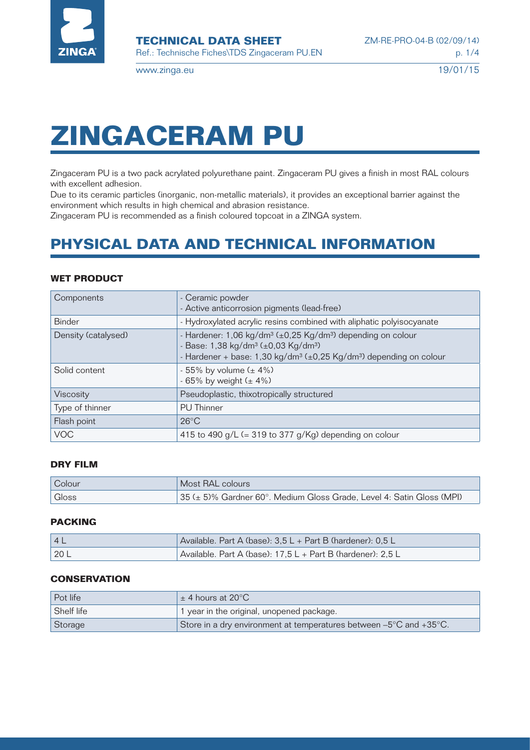

# **ZINGACERAM PU**

Zingaceram PU is a two pack acrylated polyurethane paint. Zingaceram PU gives a finish in most RAL colours with excellent adhesion.

Due to its ceramic particles (inorganic, non-metallic materials), it provides an exceptional barrier against the environment which results in high chemical and abrasion resistance.

Zingaceram PU is recommended as a finish coloured topcoat in a ZINGA system.

# **PHYSICAL DATA AND TECHNICAL INFORMATION**

#### **WET PRODUCT**

| Components          | - Ceramic powder<br>- Active anticorrosion pigments (lead-free)                                                                                                                                                                                 |
|---------------------|-------------------------------------------------------------------------------------------------------------------------------------------------------------------------------------------------------------------------------------------------|
| <b>Binder</b>       | - Hydroxylated acrylic resins combined with aliphatic polyisocyanate                                                                                                                                                                            |
| Density (catalysed) | - Hardener: 1,06 kg/dm <sup>3</sup> (±0,25 Kg/dm <sup>3</sup> ) depending on colour<br>- Base: 1,38 kg/dm <sup>3</sup> (±0,03 Kg/dm <sup>3)</sup><br>- Hardener + base: 1,30 kg/dm <sup>3</sup> (±0,25 Kg/dm <sup>3</sup> ) depending on colour |
| Solid content       | - 55% by volume $(± 4%)$<br>- 65% by weight $(± 4%)$                                                                                                                                                                                            |
| Viscosity           | Pseudoplastic, thixotropically structured                                                                                                                                                                                                       |
| Type of thinner     | <b>PU</b> Thinner                                                                                                                                                                                                                               |
| Flash point         | $26^{\circ}$ C                                                                                                                                                                                                                                  |
| <b>VOC</b>          | 415 to 490 g/L $(= 319$ to 377 g/Kg) depending on colour                                                                                                                                                                                        |

#### **DRY FILM**

| Colour | Most RAL colours                                                      |
|--------|-----------------------------------------------------------------------|
| Gloss  | 35 (± 5)% Gardner 60°. Medium Gloss Grade, Level 4: Satin Gloss (MPI) |

## **PACKING**

| 4 <sub>h</sub> | Available. Part A (base): $3.5 L +$ Part B (hardener): $0.5 L$  |
|----------------|-----------------------------------------------------------------|
| 20 L           | Available. Part A (base): $17.5 L +$ Part B (hardener): $2.5 L$ |

#### **CONSERVATION**

| Pot life   | $\pm$ 4 hours at 20 $^{\circ}$ C                                   |
|------------|--------------------------------------------------------------------|
| Shelf life | 1 year in the original, unopened package.                          |
| Storage    | Store in a dry environment at temperatures between -5°C and +35°C. |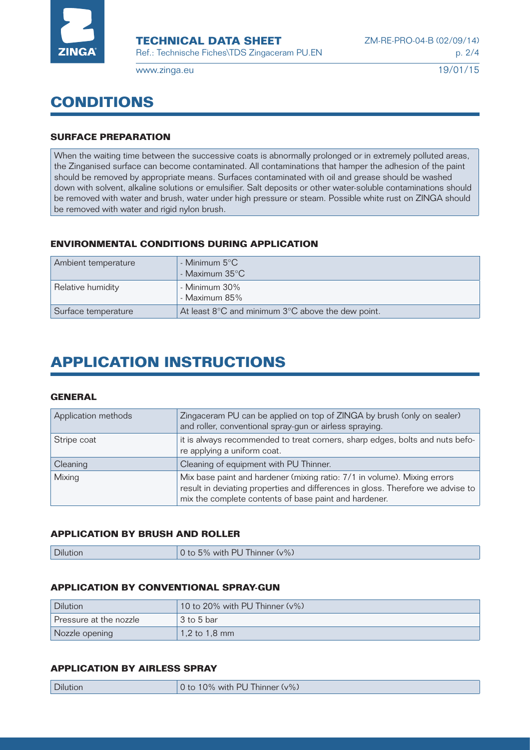

# **CONDITIONS**

### **SURFACE PREPARATION**

When the waiting time between the successive coats is abnormally prolonged or in extremely polluted areas, the Zinganised surface can become contaminated. All contaminations that hamper the adhesion of the paint should be removed by appropriate means. Surfaces contaminated with oil and grease should be washed down with solvent, alkaline solutions or emulsifier. Salt deposits or other water-soluble contaminations should be removed with water and brush, water under high pressure or steam. Possible white rust on ZINGA should be removed with water and rigid nylon brush.

#### **ENVIRONMENTAL CONDITIONS DURING APPLICATION**

| Ambient temperature | - Minimum $5^{\circ}$ C<br>- Maximum $35^{\circ}$ C                   |
|---------------------|-----------------------------------------------------------------------|
| Relative humidity   | - Minimum 30%<br>- Maximum 85%                                        |
| Surface temperature | At least $8^{\circ}$ C and minimum $3^{\circ}$ C above the dew point. |

# **APPLICATION INSTRUCTIONS**

#### **GENERAL**

| Application methods | Zingaceram PU can be applied on top of ZINGA by brush (only on sealer)<br>and roller, conventional spray-gun or airless spraying.                                                                                    |
|---------------------|----------------------------------------------------------------------------------------------------------------------------------------------------------------------------------------------------------------------|
| Stripe coat         | it is always recommended to treat corners, sharp edges, bolts and nuts befo-<br>re applying a uniform coat.                                                                                                          |
| Cleaning            | Cleaning of equipment with PU Thinner.                                                                                                                                                                               |
| Mixing              | Mix base paint and hardener (mixing ratio: 7/1 in volume). Mixing errors<br>result in deviating properties and differences in gloss. Therefore we advise to<br>mix the complete contents of base paint and hardener. |

#### **APPLICATION BY BRUSH AND ROLLER**

| 0 to 5% with PU Thinner (v%)<br><b>Dilution</b> |  |
|-------------------------------------------------|--|
|-------------------------------------------------|--|

#### **APPLICATION BY CONVENTIONAL SPRAY-GUN**

| <b>Dilution</b>        | 10 to 20% with PU Thinner $(v\%)$ |
|------------------------|-----------------------------------|
| Pressure at the nozzle | 3 to 5 bar                        |
| Nozzle opening         | $1.2$ to 1.8 mm                   |

## **APPLICATION BY AIRLESS SPRAY**

| ' Dilution. | $(v\%)$<br>்ட<br>$\cdots$<br>$\mathbf{v}$<br>M1 <sup>th</sup><br>t٢<br>hini<br>$\gamma_0$<br>.<br>$\overline{\phantom{0}}$ |
|-------------|----------------------------------------------------------------------------------------------------------------------------|
|             |                                                                                                                            |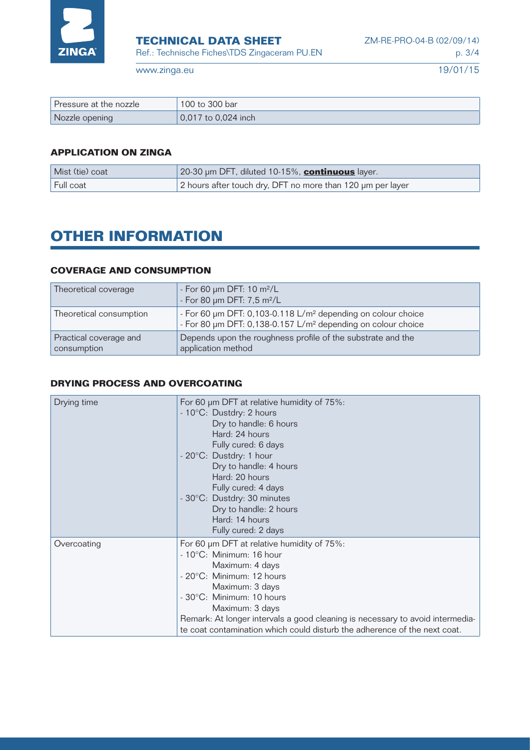

| Pressure at the nozzle | $\degree$ 100 to 300 bar $\degree$ |
|------------------------|------------------------------------|
| Nozzle opening         | $0.017$ to 0.024 inch              |

## **APPLICATION ON ZINGA**

| Mist (tie) coat | 20-30 µm DFT, diluted 10-15%, <b>continuous</b> layer.     |
|-----------------|------------------------------------------------------------|
| Full coat       | 2 hours after touch dry, DFT no more than 120 µm per layer |

# **OTHER INFORMATION**

#### **COVERAGE AND CONSUMPTION**

| Theoretical coverage                  | - For 60 $\mu$ m DFT: 10 m <sup>2</sup> /L<br>- For 80 µm DFT: 7,5 m <sup>2</sup> /L                                                                 |
|---------------------------------------|------------------------------------------------------------------------------------------------------------------------------------------------------|
| Theoretical consumption               | - For 60 µm DFT: 0,103-0.118 L/m <sup>2</sup> depending on colour choice<br>- For 80 µm DFT: 0,138-0.157 L/m <sup>2</sup> depending on colour choice |
| Practical coverage and<br>consumption | Depends upon the roughness profile of the substrate and the<br>application method                                                                    |

#### **DRYING PROCESS AND OVERCOATING**

| Drying time | For 60 µm DFT at relative humidity of 75%:<br>- 10°C: Dustdry: 2 hours<br>Dry to handle: 6 hours<br>Hard: 24 hours<br>Fully cured: 6 days<br>- 20°C: Dustdry: 1 hour<br>Dry to handle: 4 hours<br>Hard: 20 hours<br>Fully cured: 4 days<br>- 30°C: Dustdry: 30 minutes<br>Dry to handle: 2 hours<br>Hard: 14 hours<br>Fully cured: 2 days                        |
|-------------|------------------------------------------------------------------------------------------------------------------------------------------------------------------------------------------------------------------------------------------------------------------------------------------------------------------------------------------------------------------|
| Overcoating | For 60 µm DFT at relative humidity of 75%:<br>$-10^{\circ}$ C: Minimum: 16 hour<br>Maximum: 4 days<br>- 20°C: Minimum: 12 hours<br>Maximum: 3 days<br>- 30°C: Minimum: 10 hours<br>Maximum: 3 days<br>Remark: At longer intervals a good cleaning is necessary to avoid intermedia-<br>te coat contamination which could disturb the adherence of the next coat. |